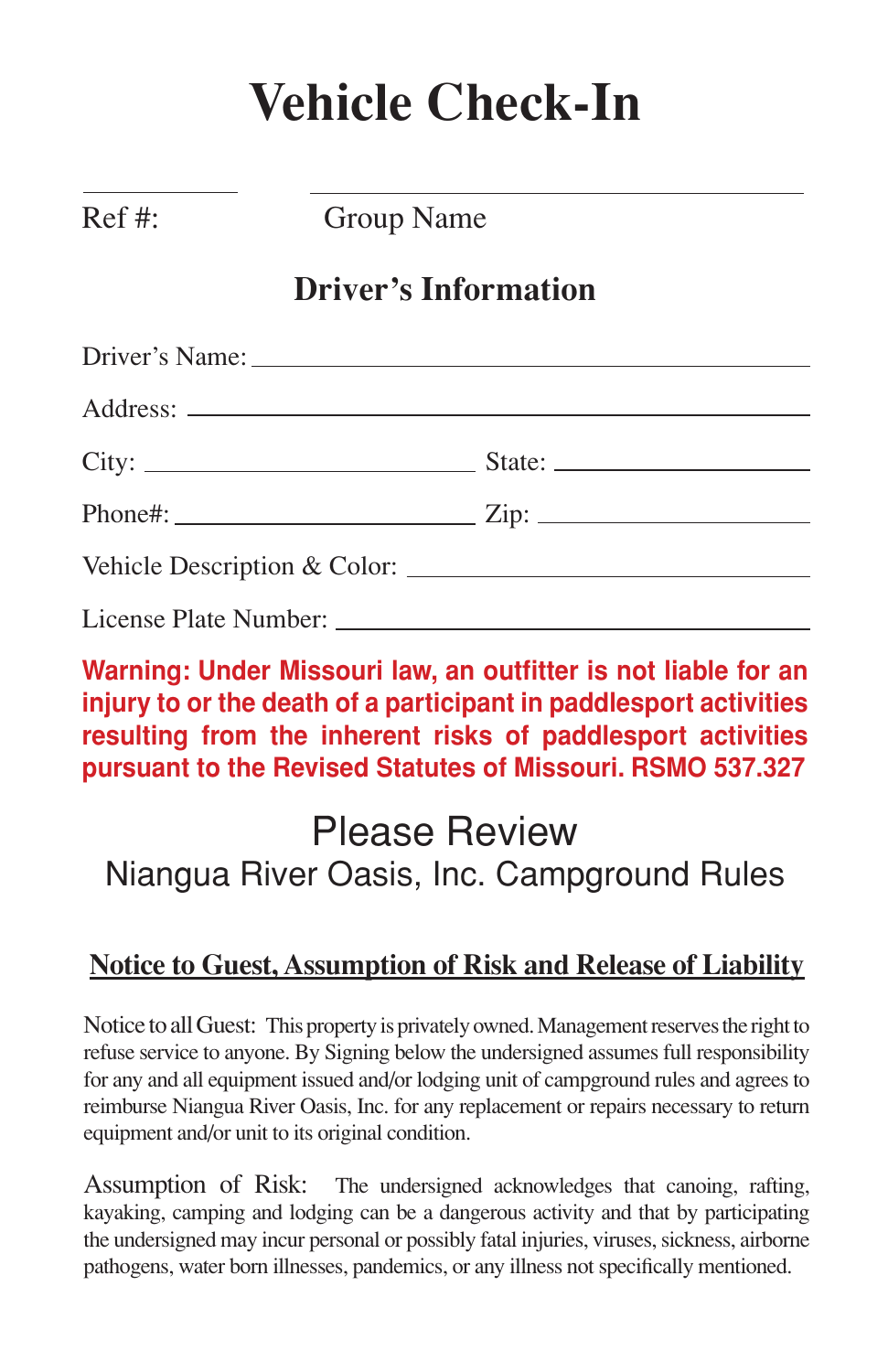# **Vehicle Check-In**

Ref #: Group Name

### **Driver's Information**

| Driver's Name: 1988 Contract Contract Contract Contract Contract Contract Contract Contract Contract Contract Contract Contract Contract Contract Contract Contract Contract Contract Contract Contract Contract Contract Cont |  |
|--------------------------------------------------------------------------------------------------------------------------------------------------------------------------------------------------------------------------------|--|
|                                                                                                                                                                                                                                |  |
|                                                                                                                                                                                                                                |  |
|                                                                                                                                                                                                                                |  |
|                                                                                                                                                                                                                                |  |
|                                                                                                                                                                                                                                |  |

#### **Warning: Under Missouri law, an outfitter is not liable for an injury to or the death of a participant in paddlesport activities resulting from the inherent risks of paddlesport activities pursuant to the Revised Statutes of Missouri. RSMO 537.327**

## Please Review Niangua River Oasis, Inc. Campground Rules

#### **Notice to Guest, Assumption of Risk and Release of Liability**

Notice to all Guest: This property is privately owned. Management reserves the right to refuse service to anyone. By Signing below the undersigned assumes full responsibility for any and all equipment issued and/or lodging unit of campground rules and agrees to reimburse Niangua River Oasis, Inc. for any replacement or repairs necessary to return equipment and/or unit to its original condition.

Assumption of Risk: The undersigned acknowledges that canoing, rafting, kayaking, camping and lodging can be a dangerous activity and that by participating the undersigned may incur personal or possibly fatal injuries, viruses, sickness, airborne pathogens, water born illnesses, pandemics, or any illness not specifically mentioned.